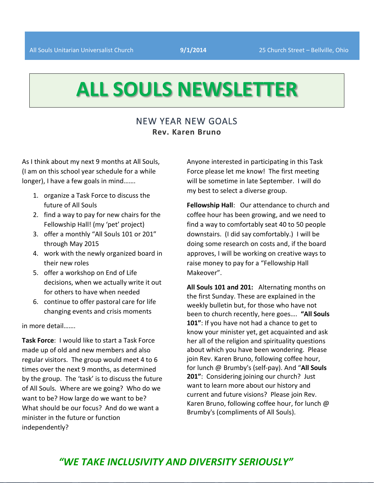# **ALL SOULS NEWSLETTER**

## NEW YEAR NEW GOALS **Rev. Karen Bruno**

As I think about my next 9 months at All Souls, (I am on this school year schedule for a while longer), I have a few goals in mind…….

- 1. organize a Task Force to discuss the future of All Souls
- 2. find a way to pay for new chairs for the Fellowship Hall! (my 'pet' project)
- 3. offer a monthly "All Souls 101 or 201" through May 2015
- 4. work with the newly organized board in their new roles
- 5. offer a workshop on End of Life decisions, when we actually write it out for others to have when needed
- 6. continue to offer pastoral care for life changing events and crisis moments

in more detail…….

**Task Force**: I would like to start a Task Force made up of old and new members and also regular visitors. The group would meet 4 to 6 times over the next 9 months, as determined by the group. The 'task' is to discuss the future of All Souls. Where are we going? Who do we want to be? How large do we want to be? What should be our focus? And do we want a minister in the future or function independently?

Anyone interested in participating in this Task Force please let me know! The first meeting will be sometime in late September. I will do my best to select a diverse group.

**Fellowship Hall**: Our attendance to church and coffee hour has been growing, and we need to find a way to comfortably seat 40 to 50 people downstairs. (I did say comfortably.) I will be doing some research on costs and, if the board approves, I will be working on creative ways to raise money to pay for a "Fellowship Hall Makeover".

**All Souls 101 and 201:** Alternating months on the first Sunday. These are explained in the weekly bulletin but, for those who have not been to church recently, here goes…. **"All Souls 101"**: If you have not had a chance to get to know your minister yet, get acquainted and ask her all of the religion and spirituality questions about which you have been wondering. Please join Rev. Karen Bruno, following coffee hour, for lunch @ Brumby's (self-pay). And "**All Souls 201"**: Considering joining our church? Just want to learn more about our history and current and future visions? Please join Rev. Karen Bruno, following coffee hour, for lunch @ Brumby's (compliments of All Souls).

## *"WE TAKE INCLUSIVITY AND DIVERSITY SERIOUSLY"*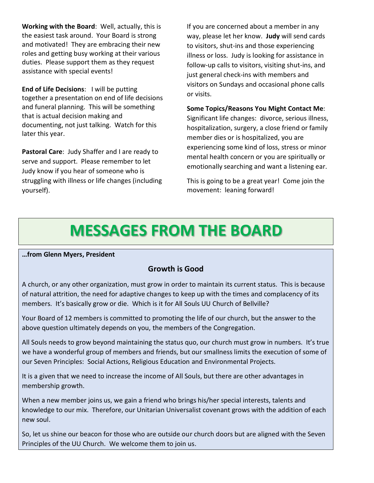**Working with the Board**: Well, actually, this is the easiest task around. Your Board is strong and motivated! They are embracing their new roles and getting busy working at their various duties. Please support them as they request assistance with special events!

**End of Life Decisions**: I will be putting together a presentation on end of life decisions and funeral planning. This will be something that is actual decision making and documenting, not just talking. Watch for this later this year.

**Pastoral Care**: Judy Shaffer and I are ready to serve and support. Please remember to let Judy know if you hear of someone who is struggling with illness or life changes (including yourself).

If you are concerned about a member in any way, please let her know. **Judy** will send cards to visitors, shut-ins and those experiencing illness or loss. Judy is looking for assistance in follow-up calls to visitors, visiting shut-ins, and just general check-ins with members and visitors on Sundays and occasional phone calls or visits.

#### **Some Topics/Reasons You Might Contact Me**:

Significant life changes: divorce, serious illness, hospitalization, surgery, a close friend or family member dies or is hospitalized, you are experiencing some kind of loss, stress or minor mental health concern or you are spiritually or emotionally searching and want a listening ear.

This is going to be a great year! Come join the movement: leaning forward!

## **MESSAGES FROM THE BOARD**

**…from Glenn Myers, President**

### **Growth is Good**

A church, or any other organization, must grow in order to maintain its current status. This is because of natural attrition, the need for adaptive changes to keep up with the times and complacency of its members. It's basically grow or die. Which is it for All Souls UU Church of Bellville?

Your Board of 12 members is committed to promoting the life of our church, but the answer to the above question ultimately depends on you, the members of the Congregation.

All Souls needs to grow beyond maintaining the status quo, our church must grow in numbers. It's true we have a wonderful group of members and friends, but our smallness limits the execution of some of our Seven Principles: Social Actions, Religious Education and Environmental Projects.

It is a given that we need to increase the income of All Souls, but there are other advantages in membership growth.

When a new member joins us, we gain a friend who brings his/her special interests, talents and knowledge to our mix. Therefore, our Unitarian Universalist covenant grows with the addition of each new soul.

So, let us shine our beacon for those who are outside our church doors but are aligned with the Seven Principles of the UU Church. We welcome them to join us.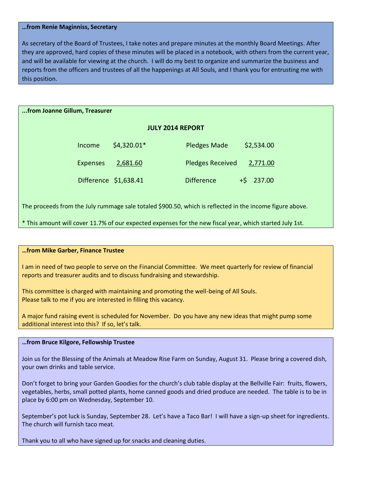#### **…from Renie Maginniss, Secretary**

As secretary of the Board of Trustees, I take notes and prepare minutes at the monthly Board Meetings. After they are approved, hard copies of these minutes will be placed in a notebook, with others from the current year, and will be available for viewing at the church. I will do my best to organize and summarize the business and reports from the officers and trustees of all the happenings at All Souls, and I thank you for entrusting me with this position.

#### **...from Joanne Gillum, Treasurer**

#### **JULY 2014 REPORT**

| Income                | \$4,320.01* | <b>Pledges Made</b>     | \$2,534.00  |
|-----------------------|-------------|-------------------------|-------------|
| <b>Expenses</b>       | 2,681.60    | <b>Pledges Received</b> | 2,771.00    |
| Difference \$1,638.41 |             | <b>Difference</b>       | $+5$ 237.00 |

The proceeds from the July rummage sale totaled \$900.50, which is reflected in the income figure above.

\* This amount will cover 11.7% of our expected expenses for the new fiscal year, which started July 1st.

#### **…from Mike Garber, Finance Trustee**

I am in need of two people to serve on the Financial Committee. We meet quarterly for review of financial reports and treasurer audits and to discuss fundraising and stewardship.

This committee is charged with maintaining and promoting the well-being of All Souls. Please talk to me if you are interested in filling this vacancy.

A major fund raising event is scheduled for November. Do you have any new ideas that might pump some additional interest into this? If so, let's talk.

#### **…from Bruce Kilgore, Fellowship Trustee**

Join us for the Blessing of the Animals at Meadow Rise Farm on Sunday, August 31. Please bring a covered dish, your own drinks and table service.

Don't forget to bring your Garden Goodies for the church's club table display at the Bellville Fair: fruits, flowers, vegetables, herbs, small potted plants, home canned goods and dried produce are needed. The table is to be in place by 6:00 pm on Wednesday, September 10.

September's pot luck is Sunday, September 28. Let's have a Taco Bar! I will have a sign-up sheet for ingredients. The church will furnish taco meat.

Thank you to all who have signed up for snacks and cleaning duties.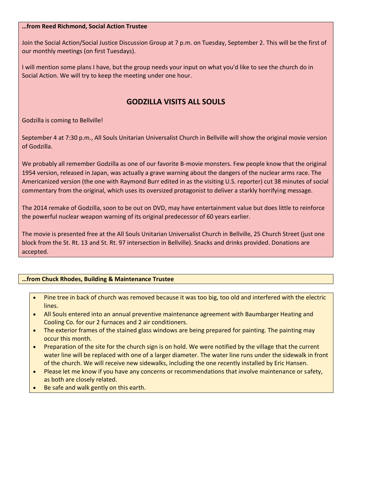#### **…from Reed Richmond, Social Action Trustee**

Join the Social Action/Social Justice Discussion Group at 7 p.m. on Tuesday, September 2. This will be the first of our monthly meetings (on first Tuesdays).

I will mention some plans I have, but the group needs your input on what you'd like to see the church do in Social Action. We will try to keep the meeting under one hour.

## **GODZILLA VISITS ALL SOULS**

Godzilla is coming to Bellville!

September 4 at 7:30 p.m., All Souls Unitarian Universalist Church in Bellville will show the original movie version of Godzilla.

We probably all remember Godzilla as one of our favorite B-movie monsters. Few people know that the original 1954 version, released in Japan, was actually a grave warning about the dangers of the nuclear arms race. The Americanized version (the one with Raymond Burr edited in as the visiting U.S. reporter) cut 38 minutes of social commentary from the original, which uses its oversized protagonist to deliver a starkly horrifying message.

The 2014 remake of Godzilla, soon to be out on DVD, may have entertainment value but does little to reinforce the powerful nuclear weapon warning of its original predecessor of 60 years earlier.

The movie is presented free at the All Souls Unitarian Universalist Church in Bellville, 25 Church Street (just one block from the St. Rt. 13 and St. Rt. 97 intersection in Bellville). Snacks and drinks provided. Donations are accepted.

#### **…from Chuck Rhodes, Building & Maintenance Trustee**

- Pine tree in back of church was removed because it was too big, too old and interfered with the electric lines.
- All Souls entered into an annual preventive maintenance agreement with Baumbarger Heating and Cooling Co. for our 2 furnaces and 2 air conditioners.
- The exterior frames of the stained glass windows are being prepared for painting. The painting may occur this month.
- Preparation of the site for the church sign is on hold. We were notified by the village that the current water line will be replaced with one of a larger diameter. The water line runs under the sidewalk in front of the church. We will receive new sidewalks, including the one recently installed by Eric Hansen.
- Please let me know if you have any concerns or recommendations that involve maintenance or safety, as both are closely related.
- Be safe and walk gently on this earth.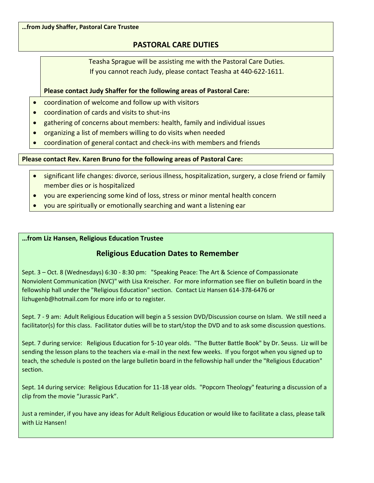**…from Judy Shaffer, Pastoral Care Trustee**

## **PASTORAL CARE DUTIES**

Teasha Sprague will be assisting me with the Pastoral Care Duties. If you cannot reach Judy, please contact Teasha at 440-622-1611.

#### **Please contact Judy Shaffer for the following areas of Pastoral Care:**

- coordination of welcome and follow up with visitors
- coordination of cards and visits to shut-ins
- gathering of concerns about members: health, family and individual issues
- organizing a list of members willing to do visits when needed
- coordination of general contact and check-ins with members and friends

#### **Please contact Rev. Karen Bruno for the following areas of Pastoral Care:**

- significant life changes: divorce, serious illness, hospitalization, surgery, a close friend or family member dies or is hospitalized
- you are experiencing some kind of loss, stress or minor mental health concern
- you are spiritually or emotionally searching and want a listening ear

#### **…from Liz Hansen, Religious Education Trustee**

#### **Religious Education Dates to Remember**

Sept. 3 – Oct. 8 (Wednesdays) 6:30 - 8:30 pm: "Speaking Peace: The Art & Science of Compassionate Nonviolent Communication (NVC)" with Lisa Kreischer. For more information see flier on bulletin board in the fellowship hall under the "Religious Education" section. Contact Liz Hansen 614-378-6476 or lizhugenb@hotmail.com for more info or to register.

Sept. 7 - 9 am: Adult Religious Education will begin a 5 session DVD/Discussion course on Islam. We still need a facilitator(s) for this class. Facilitator duties will be to start/stop the DVD and to ask some discussion questions.

Sept. 7 during service: Religious Education for 5-10 year olds. "The Butter Battle Book" by Dr. Seuss. Liz will be sending the lesson plans to the teachers via e-mail in the next few weeks. If you forgot when you signed up to teach, the schedule is posted on the large bulletin board in the fellowship hall under the "Religious Education" section.

Sept. 14 during service: Religious Education for 11-18 year olds. "Popcorn Theology" featuring a discussion of a clip from the movie "Jurassic Park".

Just a reminder, if you have any ideas for Adult Religious Education or would like to facilitate a class, please talk with Liz Hansen!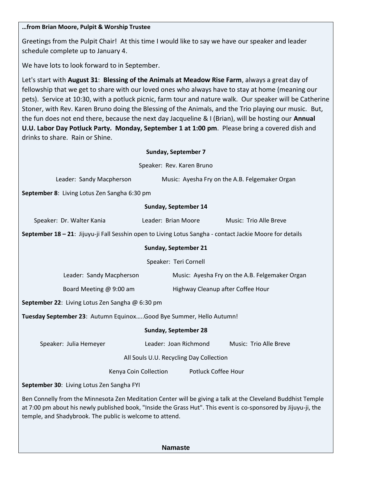#### **…from Brian Moore, Pulpit & Worship Trustee**

Greetings from the Pulpit Chair! At this time I would like to say we have our speaker and leader schedule complete up to January 4.

We have lots to look forward to in September.

Let's start with **August 31**: **Blessing of the Animals at Meadow Rise Farm**, always a great day of fellowship that we get to share with our loved ones who always have to stay at home (meaning our pets). Service at 10:30, with a potluck picnic, farm tour and nature walk. Our speaker will be Catherine Stoner, with Rev. Karen Bruno doing the Blessing of the Animals, and the Trio playing our music. But, the fun does not end there, because the next day Jacqueline & I (Brian), will be hosting our **Annual U.U. Labor Day Potluck Party. Monday, September 1 at 1:00 pm**. Please bring a covered dish and drinks to share. Rain or Shine.

Speaker: Rev. Karen Bruno

Leader: Sandy Macpherson Music: Ayesha Fry on the A.B. Felgemaker Organ

**September 8**: Living Lotus Zen Sangha 6:30 pm

#### **Sunday, September 14**

| Speaker: Dr. Walter Kania | Leader: Brian Moore | Music: Trio Alle Breve |
|---------------------------|---------------------|------------------------|
|---------------------------|---------------------|------------------------|

**September 18 – 21**: Jijuyu-ji Fall Sesshin open to Living Lotus Sangha - contact Jackie Moore for details

#### **Sunday, September 21**

Speaker: Teri Cornell

| Leader: Sandy Macpherson | Music: Ayesha Fry on the A.B. Felgemaker Organ |
|--------------------------|------------------------------------------------|
|                          |                                                |

Board Meeting @ 9:00 am Highway Cleanup after Coffee Hour

**September 22**: Living Lotus Zen Sangha @ 6:30 pm

**Tuesday September 23**: Autumn Equinox…..Good Bye Summer, Hello Autumn!

**Sunday, September 28**

Speaker: Julia Hemeyer Leader: Joan Richmond Music: Trio Alle Breve

All Souls U.U. Recycling Day Collection

Kenya Coin Collection Potluck Coffee Hour

**September 30**: Living Lotus Zen Sangha FYI

Ben Connelly from the Minnesota Zen Meditation Center will be giving a talk at the Cleveland Buddhist Temple at 7:00 pm about his newly published book, "Inside the Grass Hut". This event is co-sponsored by Jijuyu-ji, the temple, and Shadybrook. The public is welcome to attend.

**Namaste**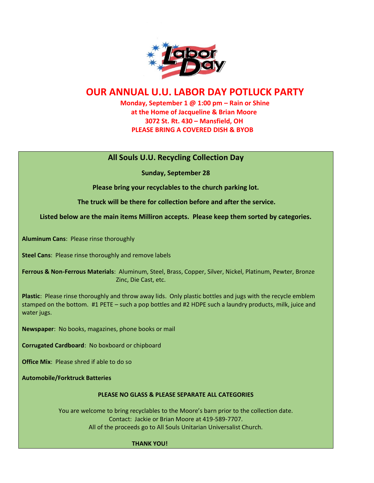

## **OUR ANNUAL U.U. LABOR DAY POTLUCK PARTY**

 **Monday, September 1 @ 1:00 pm – Rain or Shine at the Home of Jacqueline & Brian Moore 3072 St. Rt. 430 – Mansfield, OH PLEASE BRING A COVERED DISH & BYOB**

## **All Souls U.U. Recycling Collection Day**

**Sunday, September 28**

**Please bring your recyclables to the church parking lot.** 

**The truck will be there for collection before and after the service.** 

**Listed below are the main items Milliron accepts. Please keep them sorted by categories.**

**Aluminum Cans**: Please rinse thoroughly

**Steel Cans**: Please rinse thoroughly and remove labels

**Ferrous & Non-Ferrous Materials**: Aluminum, Steel, Brass, Copper, Silver, Nickel, Platinum, Pewter, Bronze Zinc, Die Cast, etc.

**Plastic**: Please rinse thoroughly and throw away lids. Only plastic bottles and jugs with the recycle emblem stamped on the bottom. #1 PETE – such a pop bottles and #2 HDPE such a laundry products, milk, juice and water jugs.

**Newspaper**: No books, magazines, phone books or mail

**Corrugated Cardboard**: No boxboard or chipboard

**Office Mix**: Please shred if able to do so

**Automobile/Forktruck Batteries**

#### **PLEASE NO GLASS & PLEASE SEPARATE ALL CATEGORIES**

You are welcome to bring recyclables to the Moore's barn prior to the collection date. Contact: Jackie or Brian Moore at 419-589-7707. All of the proceeds go to All Souls Unitarian Universalist Church.

#### **THANK YOU!**